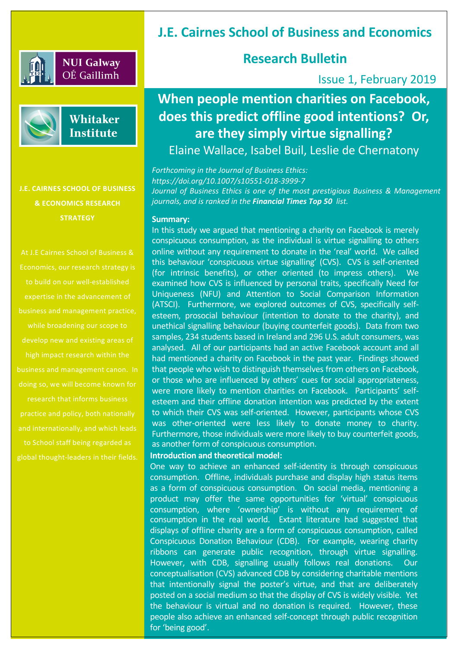

## **NUI Galway** OÉ Gaillimh



## Whitaker **Institute**

**J.E. CAIRNES SCHOOL OF BUSINESS & ECONOMICS RESEARCH STRATEGY**

At J.E Cairnes School of Business & Economics, our research strategy is expertise in the advancement of business and management practice, while broadening our scope to business and management canon. In doing so, we will become known for research that informs business and internationally, and which leads to School staff being regarded as global thought-leaders in their fields. **Introduction and theoretical model:**

# **J.E. Cairnes School of Business and Economics**

# **Research Bulletin**

## Issue 1, February 2019

# **When people mention charities on Facebook, does this predict offline good intentions? Or, are they simply virtue signalling?**

Elaine Wallace, Isabel Buil, Leslie de Chernatony

*Forthcoming in the Journal of Business Ethics: https://doi.org/10.1007/s10551-018-3999-7 Journal of Business Ethics is one of the most prestigious Business & Management journals, and is ranked in the Financial Times Top 50 list.*

#### **Summary:**

In this study we argued that mentioning a charity on Facebook is merely conspicuous consumption, as the individual is virtue signalling to others online without any requirement to donate in the 'real' world. We called this behaviour 'conspicuous virtue signalling' (CVS). CVS is self-oriented (for intrinsic benefits), or other oriented (to impress others). We examined how CVS is influenced by personal traits, specifically Need for Uniqueness (NFU) and Attention to Social Comparison Information (ATSCI). Furthermore, we explored outcomes of CVS, specifically selfesteem, prosocial behaviour (intention to donate to the charity), and unethical signalling behaviour (buying counterfeit goods). Data from two samples, 234 students based in Ireland and 296 U.S. adult consumers, was analysed. All of our participants had an active Facebook account and all had mentioned a charity on Facebook in the past year. Findings showed that people who wish to distinguish themselves from others on Facebook, or those who are influenced by others' cues for social appropriateness, were more likely to mention charities on Facebook. Participants' selfesteem and their offline donation intention was predicted by the extent to which their CVS was self-oriented. However, participants whose CVS was other-oriented were less likely to donate money to charity. Furthermore, those individuals were more likely to buy counterfeit goods, as another form of conspicuous consumption.

One way to achieve an enhanced self-identity is through conspicuous consumption. Offline, individuals purchase and display high status items as a form of conspicuous consumption. On social media, mentioning a product may offer the same opportunities for 'virtual' conspicuous consumption, where 'ownership' is without any requirement of consumption in the real world. Extant literature had suggested that displays of offline charity are a form of conspicuous consumption, called Conspicuous Donation Behaviour (CDB). For example, wearing charity ribbons can generate public recognition, through virtue signalling. However, with CDB, signalling usually follows real donations. Our conceptualisation (CVS) advanced CDB by considering charitable mentions that intentionally signal the poster's virtue, and that are deliberately posted on a social medium so that the display of CVS is widely visible. Yet the behaviour is virtual and no donation is required. However, these people also achieve an enhanced self-concept through public recognition for 'being good'.